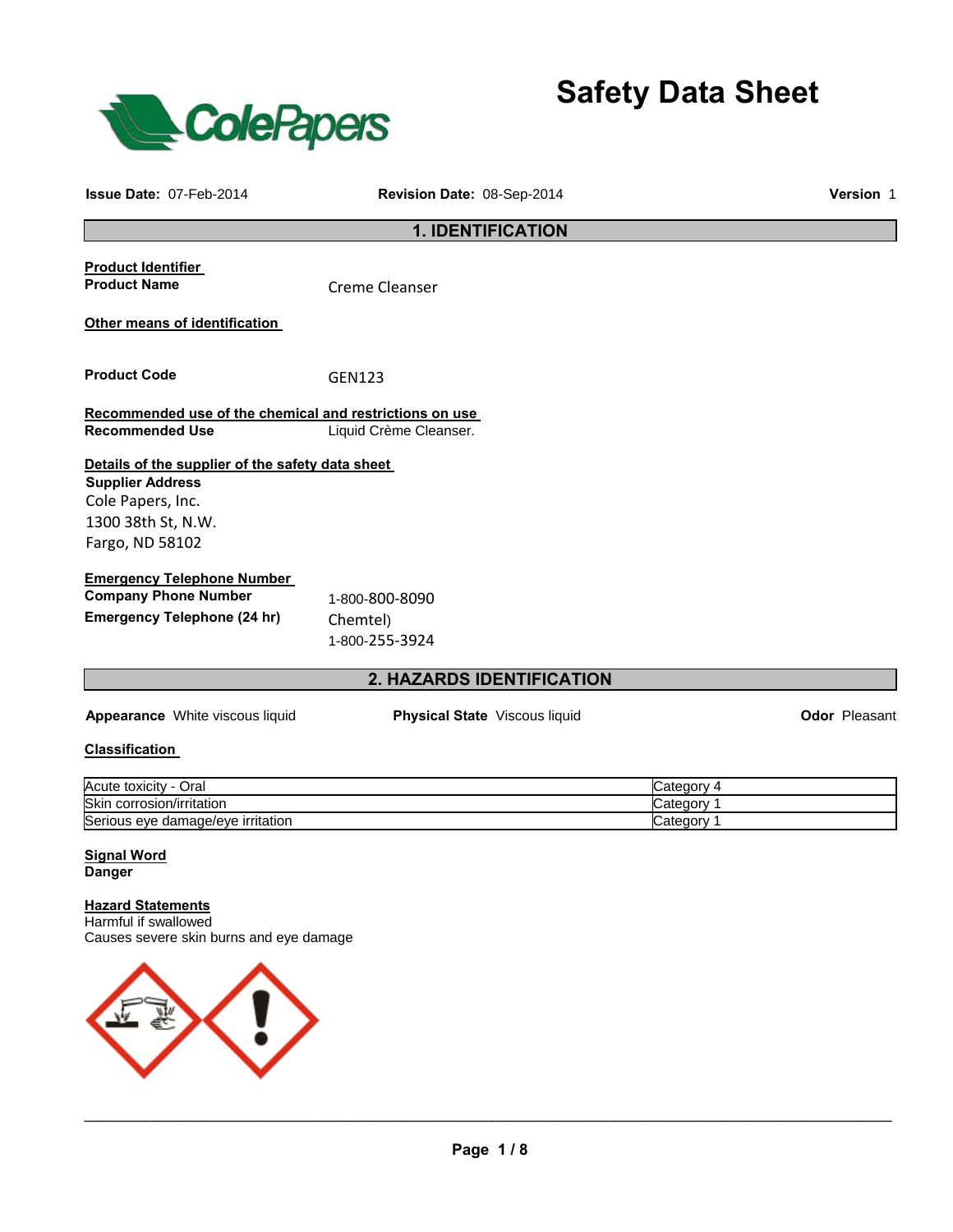

**Safety Data Sheet** 

| <b>Issue Date: 07-Feb-2014</b>                                                                                                            | Revision Date: 08-Sep-2014                   | Version 1                              |               |  |
|-------------------------------------------------------------------------------------------------------------------------------------------|----------------------------------------------|----------------------------------------|---------------|--|
| <b>1. IDENTIFICATION</b>                                                                                                                  |                                              |                                        |               |  |
| <b>Product Identifier</b><br><b>Product Name</b>                                                                                          | <b>Creme Cleanser</b>                        |                                        |               |  |
| Other means of identification                                                                                                             |                                              |                                        |               |  |
| <b>Product Code</b>                                                                                                                       | GEN123                                       |                                        |               |  |
| Recommended use of the chemical and restrictions on use<br><b>Recommended Use</b>                                                         | Liquid Crème Cleanser.                       |                                        |               |  |
| Details of the supplier of the safety data sheet<br><b>Supplier Address</b><br>Cole Papers, Inc.<br>1300 38th St, N.W.<br>Fargo, ND 58102 |                                              |                                        |               |  |
| <b>Emergency Telephone Number</b><br><b>Company Phone Number</b><br><b>Emergency Telephone (24 hr)</b>                                    | 1-800-800-8090<br>Chemtel)<br>1-800-255-3924 |                                        |               |  |
|                                                                                                                                           | 2. HAZARDS IDENTIFICATION                    |                                        |               |  |
| Appearance White viscous liquid                                                                                                           | Physical State Viscous liquid                |                                        | Odor Pleasant |  |
| <b>Classification</b>                                                                                                                     |                                              |                                        |               |  |
| Acute toxicity - Oral<br>Skin corrosion/irritation<br>Serious eye damage/eye irritation                                                   |                                              | Category 4<br>Category 1<br>Category 1 |               |  |
| <b>Signal Word</b><br><b>Danger</b>                                                                                                       |                                              |                                        |               |  |
| .                                                                                                                                         |                                              |                                        |               |  |

**Hazard Statements** Harmful if swallowed Causes severe skin burns and eye damage

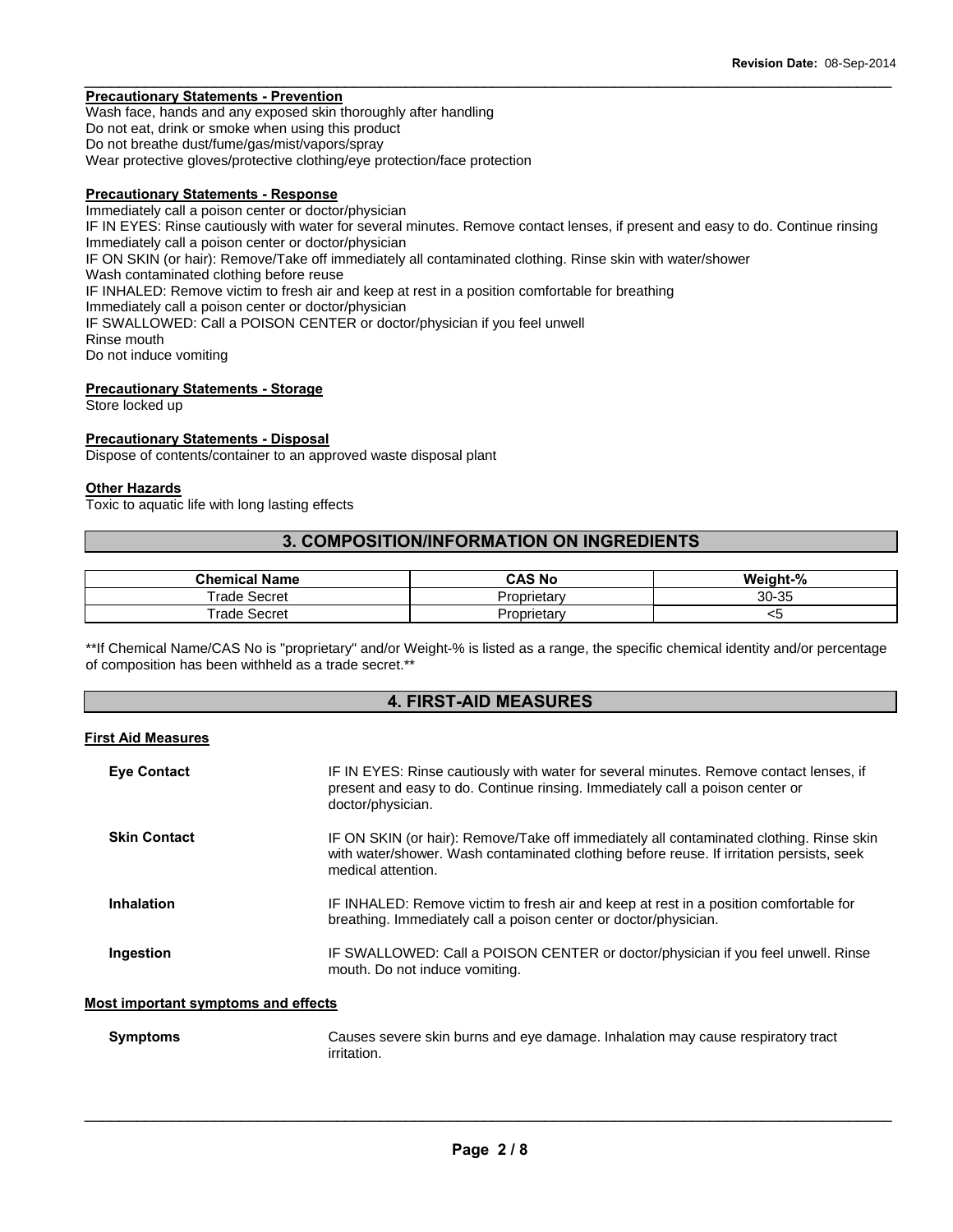# **Precautionary Statements - Prevention**

Wash face, hands and any exposed skin thoroughly after handling Do not eat, drink or smoke when using this product Do not breathe dust/fume/gas/mist/vapors/spray Wear protective gloves/protective clothing/eye protection/face protection

#### **Precautionary Statements - Response**

Immediately call a poison center or doctor/physician IF IN EYES: Rinse cautiously with water for several minutes. Remove contact lenses, if present and easy to do. Continue rinsing Immediately call a poison center or doctor/physician IF ON SKIN (or hair): Remove/Take off immediately all contaminated clothing. Rinse skin with water/shower Wash contaminated clothing before reuse IF INHALED: Remove victim to fresh air and keep at rest in a position comfortable for breathing Immediately call a poison center or doctor/physician IF SWALLOWED: Call a POISON CENTER or doctor/physician if you feel unwell Rinse mouth Do not induce vomiting

 $\_$  ,  $\_$  ,  $\_$  ,  $\_$  ,  $\_$  ,  $\_$  ,  $\_$  ,  $\_$  ,  $\_$  ,  $\_$  ,  $\_$  ,  $\_$  ,  $\_$  ,  $\_$  ,  $\_$  ,  $\_$  ,  $\_$  ,  $\_$  ,  $\_$  ,  $\_$  ,  $\_$  ,  $\_$  ,  $\_$  ,  $\_$  ,  $\_$  ,  $\_$  ,  $\_$  ,  $\_$  ,  $\_$  ,  $\_$  ,  $\_$  ,  $\_$  ,  $\_$  ,  $\_$  ,  $\_$  ,  $\_$  ,  $\_$  ,

# **Precautionary Statements - Storage**

Store locked up

#### **Precautionary Statements - Disposal**

Dispose of contents/container to an approved waste disposal plant

#### **Other Hazards**

Toxic to aquatic life with long lasting effects

# **3. COMPOSITION/INFORMATION ON INGREDIENTS**

| <b>Chemical Name</b> | <b>CAS No</b>      | Weight-% |
|----------------------|--------------------|----------|
| $r$ rade.<br>Secret  | <b>Proprietary</b> | 30-35    |
| rade<br>Secret       | Proprietary        | ∼~       |

\*\*If Chemical Name/CAS No is "proprietary" and/or Weight-% is listed as a range, the specific chemical identity and/or percentage of composition has been withheld as a trade secret.\*\*

# **4. FIRST-AID MEASURES**

#### **First Aid Measures**

| <b>Eye Contact</b>  | IF IN EYES: Rinse cautiously with water for several minutes. Remove contact lenses, if<br>present and easy to do. Continue rinsing. Immediately call a poison center or<br>doctor/physician.              |
|---------------------|-----------------------------------------------------------------------------------------------------------------------------------------------------------------------------------------------------------|
| <b>Skin Contact</b> | IF ON SKIN (or hair): Remove/Take off immediately all contaminated clothing. Rinse skin<br>with water/shower. Wash contaminated clothing before reuse. If irritation persists, seek<br>medical attention. |
| Inhalation          | IF INHALED: Remove victim to fresh air and keep at rest in a position comfortable for<br>breathing. Immediately call a poison center or doctor/physician.                                                 |
| Ingestion           | IF SWALLOWED: Call a POISON CENTER or doctor/physician if you feel unwell. Rinse<br>mouth. Do not induce vomiting.                                                                                        |

#### **Most important symptoms and effects**

| <b>Symptoms</b> | Causes severe skin burns and eye damage. Inhalation may cause respiratory tract |
|-----------------|---------------------------------------------------------------------------------|
|                 | irritation.                                                                     |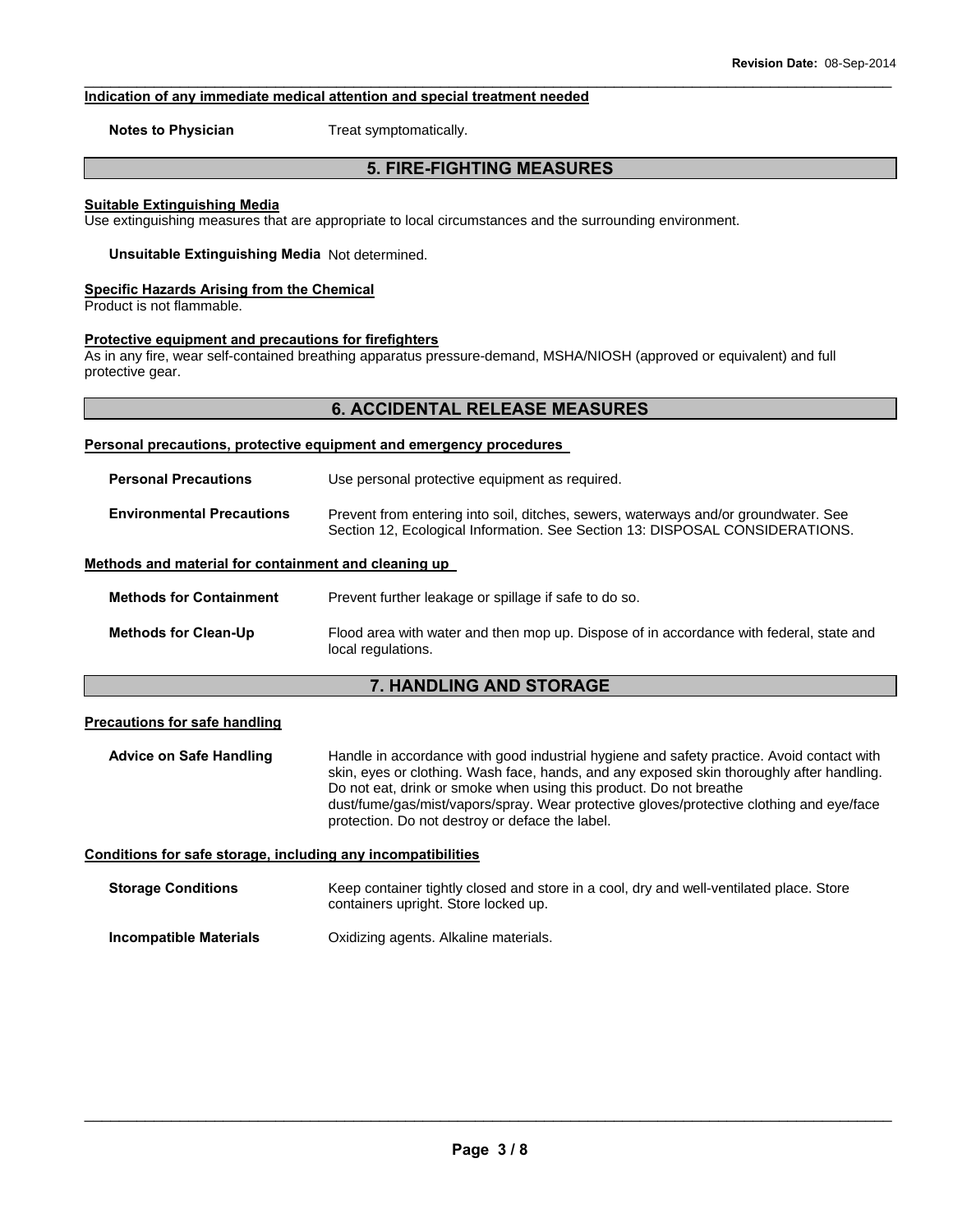## **Indication of any immediate medical attention and special treatment needed**

**Notes to Physician**  Treat symptomatically.

# **5. FIRE-FIGHTING MEASURES**

 $\_$  ,  $\_$  ,  $\_$  ,  $\_$  ,  $\_$  ,  $\_$  ,  $\_$  ,  $\_$  ,  $\_$  ,  $\_$  ,  $\_$  ,  $\_$  ,  $\_$  ,  $\_$  ,  $\_$  ,  $\_$  ,  $\_$  ,  $\_$  ,  $\_$  ,  $\_$  ,  $\_$  ,  $\_$  ,  $\_$  ,  $\_$  ,  $\_$  ,  $\_$  ,  $\_$  ,  $\_$  ,  $\_$  ,  $\_$  ,  $\_$  ,  $\_$  ,  $\_$  ,  $\_$  ,  $\_$  ,  $\_$  ,  $\_$  ,

#### **Suitable Extinguishing Media**

Use extinguishing measures that are appropriate to local circumstances and the surrounding environment.

**Unsuitable Extinguishing Media** Not determined.

#### **Specific Hazards Arising from the Chemical**

Product is not flammable.

#### **Protective equipment and precautions for firefighters**

As in any fire, wear self-contained breathing apparatus pressure-demand, MSHA/NIOSH (approved or equivalent) and full protective gear.

# **6. ACCIDENTAL RELEASE MEASURES**

#### **Personal precautions, protective equipment and emergency procedures**

| <b>Personal Precautions</b>      | Use personal protective equipment as required.                                                                                                                      |  |
|----------------------------------|---------------------------------------------------------------------------------------------------------------------------------------------------------------------|--|
| <b>Environmental Precautions</b> | Prevent from entering into soil, ditches, sewers, waterways and/or groundwater. See<br>Section 12, Ecological Information. See Section 13: DISPOSAL CONSIDERATIONS. |  |

#### **Methods and material for containment and cleaning up**

| <b>Methods for Containment</b> | Prevent further leakage or spillage if safe to do so.                                                         |  |
|--------------------------------|---------------------------------------------------------------------------------------------------------------|--|
| <b>Methods for Clean-Up</b>    | Flood area with water and then mop up. Dispose of in accordance with federal, state and<br>local regulations. |  |

# **7. HANDLING AND STORAGE**

#### **Precautions for safe handling**

**Advice on Safe Handling** Handle in accordance with good industrial hygiene and safety practice. Avoid contact with skin, eyes or clothing. Wash face, hands, and any exposed skin thoroughly after handling. Do not eat, drink or smoke when using this product. Do not breathe dust/fume/gas/mist/vapors/spray. Wear protective gloves/protective clothing and eye/face protection. Do not destroy or deface the label.

#### **Conditions for safe storage, including any incompatibilities**

| <b>Storage Conditions</b> | Keep container tightly closed and store in a cool, dry and well-ventilated place. Store<br>containers upright. Store locked up. |
|---------------------------|---------------------------------------------------------------------------------------------------------------------------------|
| Incompatible Materials    | Oxidizing agents. Alkaline materials.                                                                                           |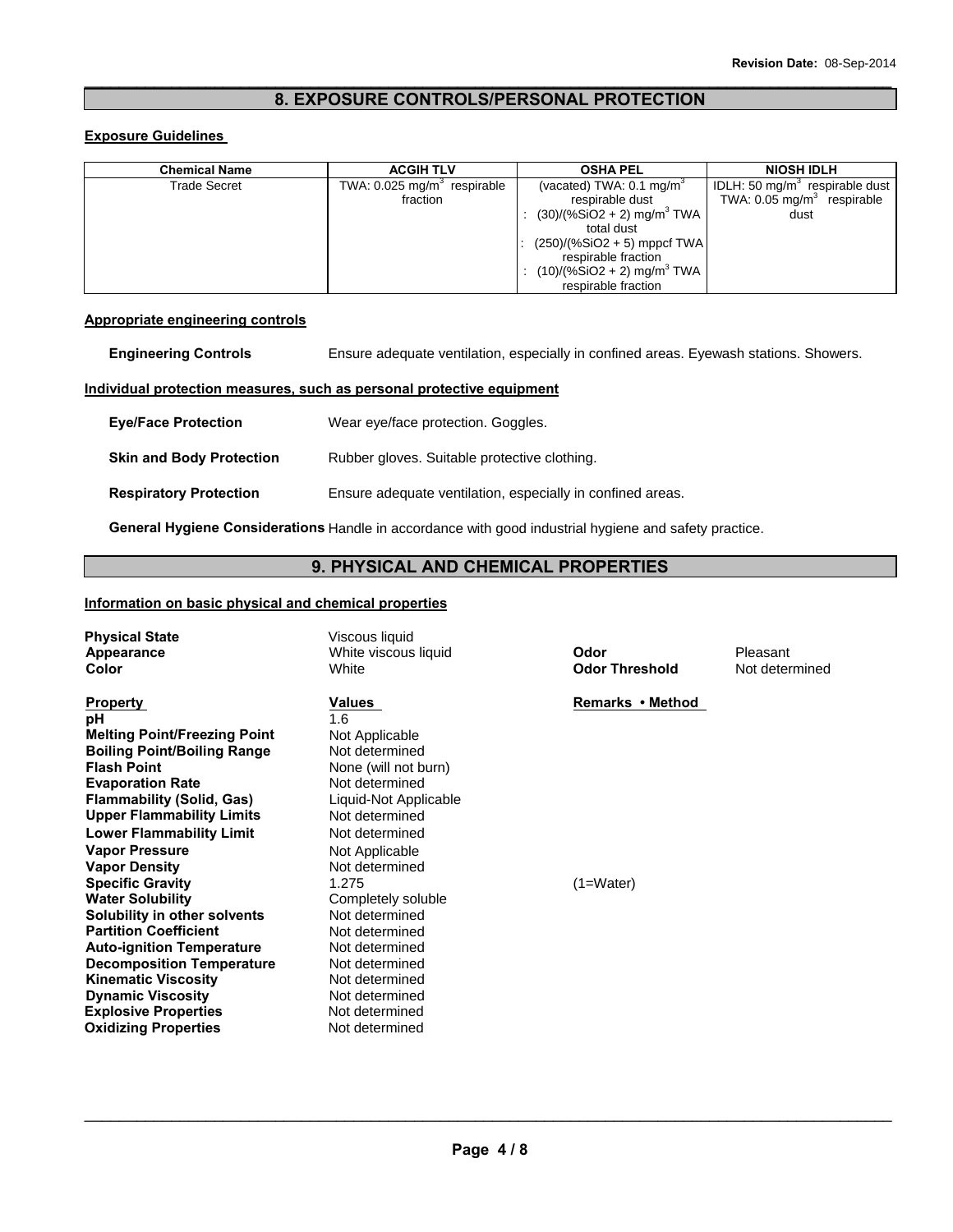# $\_$  ,  $\_$  ,  $\_$  ,  $\_$  ,  $\_$  ,  $\_$  ,  $\_$  ,  $\_$  ,  $\_$  ,  $\_$  ,  $\_$  ,  $\_$  ,  $\_$  ,  $\_$  ,  $\_$  ,  $\_$  ,  $\_$  ,  $\_$  ,  $\_$  ,  $\_$  ,  $\_$  ,  $\_$  ,  $\_$  ,  $\_$  ,  $\_$  ,  $\_$  ,  $\_$  ,  $\_$  ,  $\_$  ,  $\_$  ,  $\_$  ,  $\_$  ,  $\_$  ,  $\_$  ,  $\_$  ,  $\_$  ,  $\_$  , **8. EXPOSURE CONTROLS/PERSONAL PROTECTION**

# **Exposure Guidelines**

| <b>Chemical Name</b> | <b>ACGIH TLV</b>                                      | <b>OSHA PEL</b>                                                                                                                                                                                                                              | <b>NIOSH IDLH</b>                                                                 |
|----------------------|-------------------------------------------------------|----------------------------------------------------------------------------------------------------------------------------------------------------------------------------------------------------------------------------------------------|-----------------------------------------------------------------------------------|
| <b>Trade Secret</b>  | TWA: $0.025$ mg/m <sup>3</sup> respirable<br>fraction | (vacated) TWA: $0.1 \text{ mg/m}^3$<br>respirable dust<br>$(30)/(%SiO2 + 2)$ mg/m <sup>3</sup> TWA<br>total dust<br>$(250)/(%SiO2 + 5)$ mppcf TWA<br>respirable fraction<br>$(10)/($ %SiO2 + 2) mg/m <sup>3</sup> TWA<br>respirable fraction | IDLH: 50 $mg/m3$ respirable dust<br>TWA: $0.05 \text{ mg/m}^3$ respirable<br>dust |

# **Appropriate engineering controls**

| <b>Engineering Controls</b>     | Ensure adequate ventilation, especially in confined areas. Eyewash stations. Showers. |
|---------------------------------|---------------------------------------------------------------------------------------|
|                                 | Individual protection measures, such as personal protective equipment                 |
| <b>Eve/Face Protection</b>      | Wear eye/face protection. Goggles.                                                    |
| <b>Skin and Body Protection</b> | Rubber gloves. Suitable protective clothing.                                          |
| <b>Respiratory Protection</b>   | Ensure adequate ventilation, especially in confined areas.                            |

**General Hygiene Considerations** Handle in accordance with good industrial hygiene and safety practice.

# **9. PHYSICAL AND CHEMICAL PROPERTIES**

# **Information on basic physical and chemical properties**

| <b>Physical State</b><br>Appearance<br>Color                                                                                                                                                                                                                                                                                                                                                                                                                                                                                                                                                                                          | Viscous liquid<br>White viscous liquid<br>White                                                                                                                                                                                                                                                                                                                             | Odor<br><b>Odor Threshold</b>   | Pleasant<br>Not determined |
|---------------------------------------------------------------------------------------------------------------------------------------------------------------------------------------------------------------------------------------------------------------------------------------------------------------------------------------------------------------------------------------------------------------------------------------------------------------------------------------------------------------------------------------------------------------------------------------------------------------------------------------|-----------------------------------------------------------------------------------------------------------------------------------------------------------------------------------------------------------------------------------------------------------------------------------------------------------------------------------------------------------------------------|---------------------------------|----------------------------|
| <b>Property</b><br>pH<br><b>Melting Point/Freezing Point</b><br><b>Boiling Point/Boiling Range</b><br><b>Flash Point</b><br><b>Evaporation Rate</b><br><b>Flammability (Solid, Gas)</b><br><b>Upper Flammability Limits</b><br><b>Lower Flammability Limit</b><br><b>Vapor Pressure</b><br><b>Vapor Density</b><br><b>Specific Gravity</b><br><b>Water Solubility</b><br>Solubility in other solvents<br><b>Partition Coefficient</b><br><b>Auto-ignition Temperature</b><br><b>Decomposition Temperature</b><br><b>Kinematic Viscosity</b><br><b>Dynamic Viscosity</b><br><b>Explosive Properties</b><br><b>Oxidizing Properties</b> | Values<br>1.6<br>Not Applicable<br>Not determined<br>None (will not burn)<br>Not determined<br>Liquid-Not Applicable<br>Not determined<br>Not determined<br>Not Applicable<br>Not determined<br>1.275<br>Completely soluble<br>Not determined<br>Not determined<br>Not determined<br>Not determined<br>Not determined<br>Not determined<br>Not determined<br>Not determined | Remarks • Method<br>$(1=Water)$ |                            |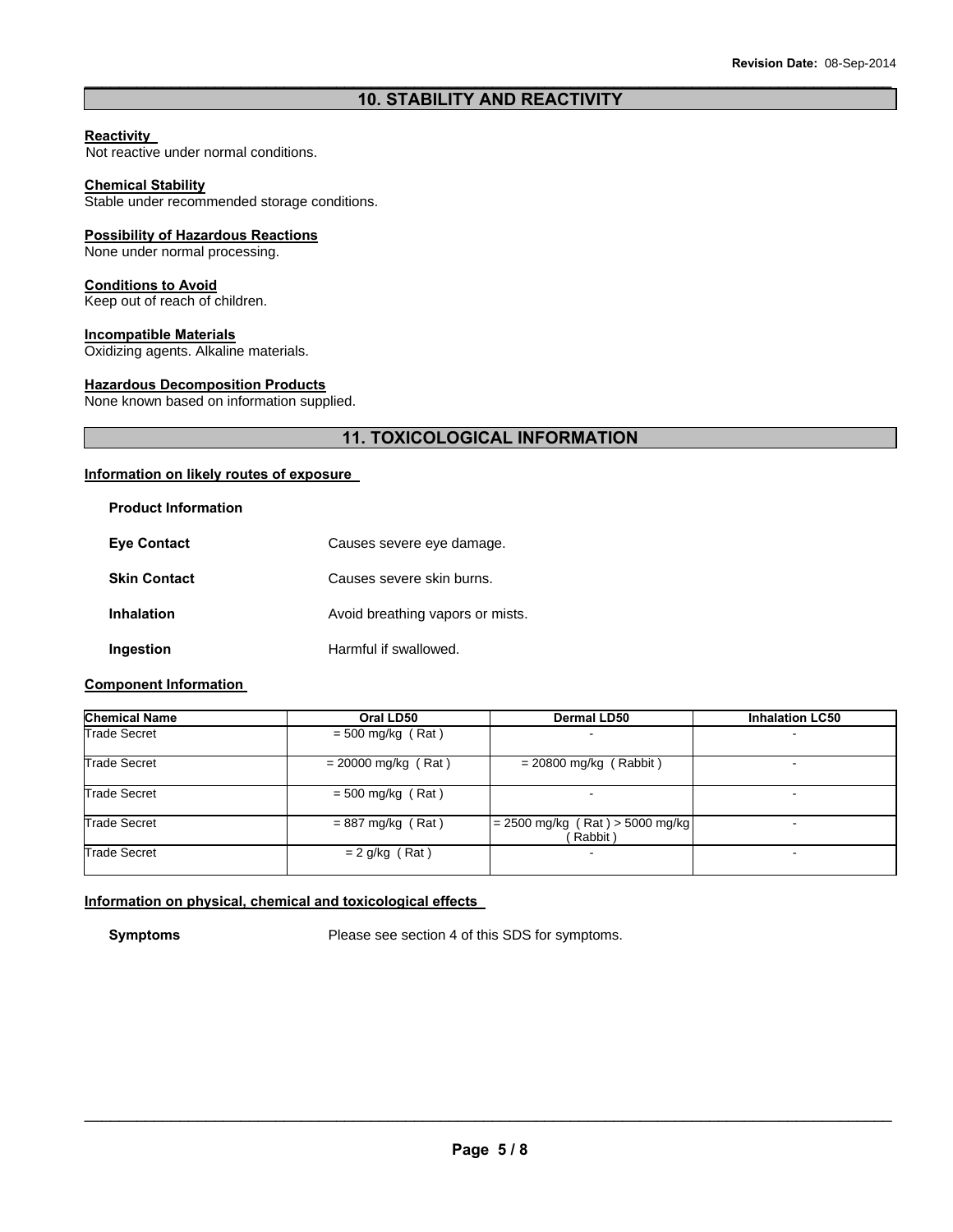# $\_$  ,  $\_$  ,  $\_$  ,  $\_$  ,  $\_$  ,  $\_$  ,  $\_$  ,  $\_$  ,  $\_$  ,  $\_$  ,  $\_$  ,  $\_$  ,  $\_$  ,  $\_$  ,  $\_$  ,  $\_$  ,  $\_$  ,  $\_$  ,  $\_$  ,  $\_$  ,  $\_$  ,  $\_$  ,  $\_$  ,  $\_$  ,  $\_$  ,  $\_$  ,  $\_$  ,  $\_$  ,  $\_$  ,  $\_$  ,  $\_$  ,  $\_$  ,  $\_$  ,  $\_$  ,  $\_$  ,  $\_$  ,  $\_$  , **10. STABILITY AND REACTIVITY**

#### **Reactivity**

Not reactive under normal conditions.

#### **Chemical Stability**

Stable under recommended storage conditions.

# **Possibility of Hazardous Reactions**

None under normal processing.

#### **Conditions to Avoid**

Keep out of reach of children.

# **Incompatible Materials**

Oxidizing agents. Alkaline materials.

# **Hazardous Decomposition Products**

None known based on information supplied.

# **11. TOXICOLOGICAL INFORMATION**

# **Information on likely routes of exposure**

| <b>Product Information</b> |                                  |
|----------------------------|----------------------------------|
| <b>Eve Contact</b>         | Causes severe eye damage.        |
| <b>Skin Contact</b>        | Causes severe skin burns.        |
| <b>Inhalation</b>          | Avoid breathing vapors or mists. |
| Ingestion                  | Harmful if swallowed.            |

# **Component Information**

| <b>Chemical Name</b> | Oral LD50             | <b>Dermal LD50</b>                           | <b>Inhalation LC50</b> |
|----------------------|-----------------------|----------------------------------------------|------------------------|
| <b>Trade Secret</b>  | $= 500$ mg/kg (Rat)   |                                              |                        |
| <b>Trade Secret</b>  | $= 20000$ mg/kg (Rat) | $= 20800$ mg/kg (Rabbit)                     |                        |
| <b>Trade Secret</b>  | $= 500$ mg/kg (Rat)   |                                              |                        |
| <b>Trade Secret</b>  | $= 887$ mg/kg (Rat)   | $= 2500$ mg/kg (Rat) > 5000 mg/kg<br>Rabbit) | -                      |
| <b>Trade Secret</b>  | $= 2$ g/kg (Rat)      |                                              |                        |

# **Information on physical, chemical and toxicological effects**

**Symptoms** Please see section 4 of this SDS for symptoms.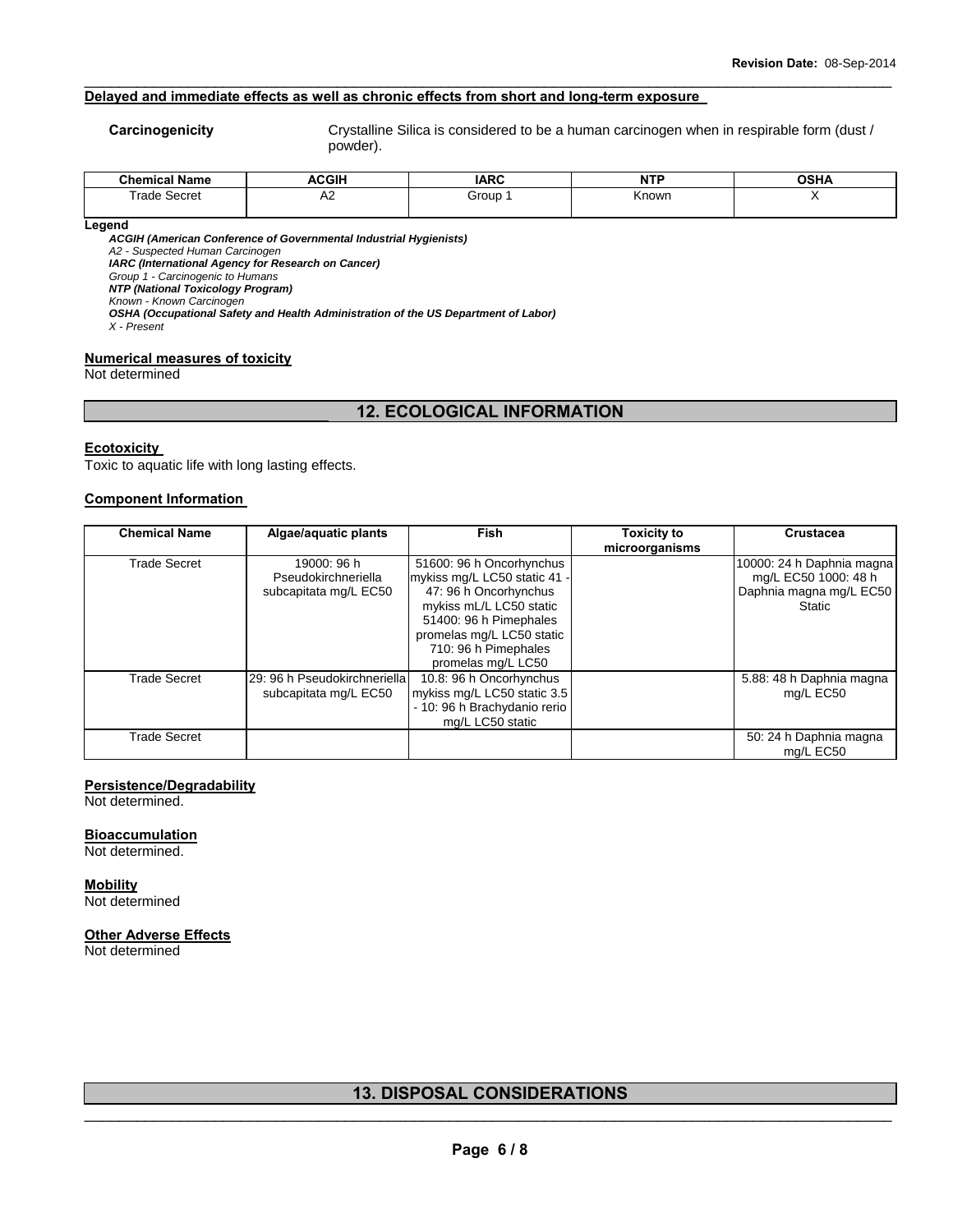# **Delayed and immediate effects as well as chronic effects from short and long-term exposure**

**Carcinogenicity Crystalline Silica is considered to be a human carcinogen when in respirable form (dust /** powder).

| <b>Chemical Name</b>                     | <b>ACGIH</b> | <b>IARC</b> | <b>NTP</b><br>. | <b>OSHA</b> |
|------------------------------------------|--------------|-------------|-----------------|-------------|
| $\overline{\phantom{0}}$<br>Frade Secret | -<br>∼       | Group       | Known           |             |
|                                          |              |             |                 |             |

 $\_$  ,  $\_$  ,  $\_$  ,  $\_$  ,  $\_$  ,  $\_$  ,  $\_$  ,  $\_$  ,  $\_$  ,  $\_$  ,  $\_$  ,  $\_$  ,  $\_$  ,  $\_$  ,  $\_$  ,  $\_$  ,  $\_$  ,  $\_$  ,  $\_$  ,  $\_$  ,  $\_$  ,  $\_$  ,  $\_$  ,  $\_$  ,  $\_$  ,  $\_$  ,  $\_$  ,  $\_$  ,  $\_$  ,  $\_$  ,  $\_$  ,  $\_$  ,  $\_$  ,  $\_$  ,  $\_$  ,  $\_$  ,  $\_$  ,

#### **Legend**

*ACGIH (American Conference of Governmental Industrial Hygienists) A2 - Suspected Human Carcinogen IARC (International Agency for Research on Cancer) Group 1 - Carcinogenic to Humans NTP (National Toxicology Program) Known - Known Carcinogen OSHA (Occupational Safety and Health Administration of the US Department of Labor) X - Present* 

# **Numerical measures of toxicity**

Not determined

# **12. ECOLOGICAL INFORMATION**

#### **Ecotoxicity**

Toxic to aquatic life with long lasting effects.

#### **Component Information**

| <b>Chemical Name</b> | Algae/aquatic plants                                        | <b>Fish</b>                                                                                                                                                                                                       | <b>Toxicity to</b><br>microorganisms | <b>Crustacea</b>                                                                              |
|----------------------|-------------------------------------------------------------|-------------------------------------------------------------------------------------------------------------------------------------------------------------------------------------------------------------------|--------------------------------------|-----------------------------------------------------------------------------------------------|
| <b>Trade Secret</b>  | 19000: 96 h<br>Pseudokirchneriella<br>subcapitata mg/L EC50 | 51600: 96 h Oncorhynchus<br>mykiss mg/L LC50 static 41 -<br>47: 96 h Oncorhynchus<br>mykiss mL/L LC50 static<br>51400: 96 h Pimephales<br>promelas mg/L LC50 static<br>710: 96 h Pimephales<br>promelas mg/L LC50 |                                      | 10000: 24 h Daphnia magna<br>mg/L EC50 1000: 48 h<br>Daphnia magna mg/L EC50<br><b>Static</b> |
| Trade Secret         | 29: 96 h Pseudokirchneriella<br>subcapitata mg/L EC50       | 10.8: 96 h Oncorhynchus<br>mykiss mg/L LC50 static 3.5<br>- 10: 96 h Brachydanio rerio<br>mg/L LC50 static                                                                                                        |                                      | 5.88: 48 h Daphnia magna<br>mg/L EC50                                                         |
| <b>Trade Secret</b>  |                                                             |                                                                                                                                                                                                                   |                                      | 50: 24 h Daphnia magna<br>mg/L EC50                                                           |

#### **Persistence/Degradability**

Not determined.

#### **Bioaccumulation**

Not determined.

**Mobility** Not determined

#### **Other Adverse Effects**

Not determined

# \_\_\_\_\_\_\_\_\_\_\_\_\_\_\_\_\_\_\_\_\_\_\_\_\_\_\_\_\_\_\_\_\_\_\_\_\_\_\_\_\_\_\_\_\_\_\_\_\_\_\_\_\_\_\_\_\_\_\_\_\_\_\_\_\_\_\_\_\_\_\_\_\_\_\_\_\_\_\_\_\_\_\_\_\_\_\_\_\_\_\_\_\_ **13. DISPOSAL CONSIDERATIONS**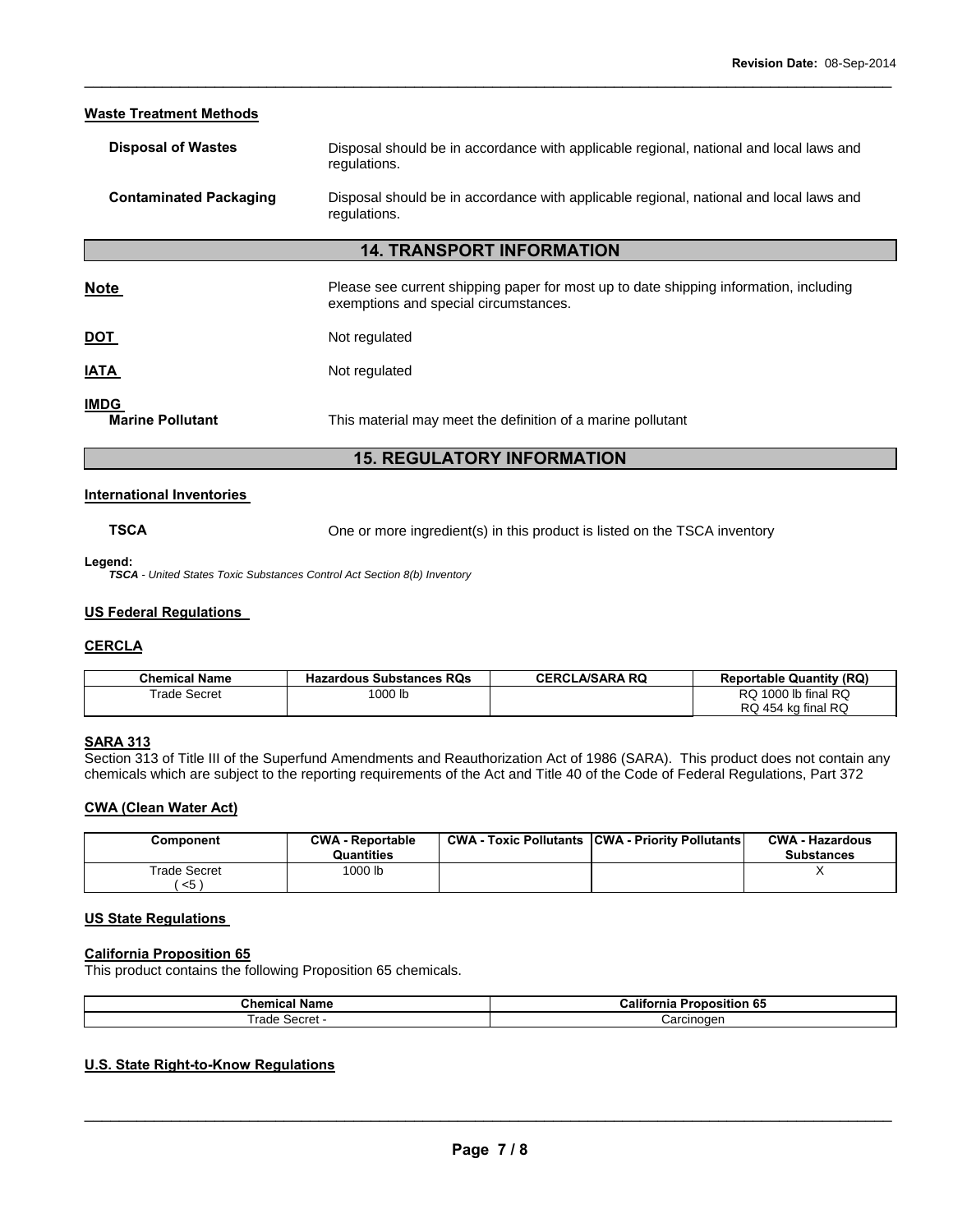| <b>Waste Treatment Methods</b>         |                                                                                                                                |  |  |
|----------------------------------------|--------------------------------------------------------------------------------------------------------------------------------|--|--|
| <b>Disposal of Wastes</b>              | Disposal should be in accordance with applicable regional, national and local laws and<br>regulations.                         |  |  |
| <b>Contaminated Packaging</b>          | Disposal should be in accordance with applicable regional, national and local laws and<br>regulations.                         |  |  |
|                                        | <b>14. TRANSPORT INFORMATION</b>                                                                                               |  |  |
| <b>Note</b>                            | Please see current shipping paper for most up to date shipping information, including<br>exemptions and special circumstances. |  |  |
| <b>DOT</b>                             | Not regulated                                                                                                                  |  |  |
| IATA                                   | Not regulated                                                                                                                  |  |  |
| <b>IMDG</b><br><b>Marine Pollutant</b> | This material may meet the definition of a marine pollutant                                                                    |  |  |
| <b>15. REGULATORY INFORMATION</b>      |                                                                                                                                |  |  |

 $\_$  ,  $\_$  ,  $\_$  ,  $\_$  ,  $\_$  ,  $\_$  ,  $\_$  ,  $\_$  ,  $\_$  ,  $\_$  ,  $\_$  ,  $\_$  ,  $\_$  ,  $\_$  ,  $\_$  ,  $\_$  ,  $\_$  ,  $\_$  ,  $\_$  ,  $\_$  ,  $\_$  ,  $\_$  ,  $\_$  ,  $\_$  ,  $\_$  ,  $\_$  ,  $\_$  ,  $\_$  ,  $\_$  ,  $\_$  ,  $\_$  ,  $\_$  ,  $\_$  ,  $\_$  ,  $\_$  ,  $\_$  ,  $\_$  ,

# **International Inventories**

**TSCA** One or more ingredient(s) in this product is listed on the TSCA inventory

**Legend:** 

*TSCA - United States Toxic Substances Control Act Section 8(b) Inventory* 

# **US Federal Regulations**

# **CERCLA**

| <b>Chemical Name</b> | <b>Hazardous Substances RQs</b> | <b>CERCLA/SARA RQ</b> | <b>Reportable Quantity (RQ)</b> |
|----------------------|---------------------------------|-----------------------|---------------------------------|
| <b>Trade Secret</b>  | 1000 lb                         |                       | RQ 1000 lb final RQ             |
|                      |                                 |                       | RQ 454 kg final RQ              |

# **SARA 313**

Section 313 of Title III of the Superfund Amendments and Reauthorization Act of 1986 (SARA). This product does not contain any chemicals which are subject to the reporting requirements of the Act and Title 40 of the Code of Federal Regulations, Part 372

# **CWA (Clean Water Act)**

| Component                       | <b>CWA - Reportable</b><br>Quantities | <b>CWA - Toxic Pollutants CWA - Priority Pollutants</b> | <b>CWA - Hazardous</b><br><b>Substances</b> |
|---------------------------------|---------------------------------------|---------------------------------------------------------|---------------------------------------------|
| Trade Secret<br>$<$ 5 $\degree$ | 1000 lb                               |                                                         |                                             |

# **US State Regulations**

# **California Proposition 65**

This product contains the following Proposition 65 chemicals.

| .<br>. Gnem.<br>панк          | <br>$-$<br>Calii<br>75 L<br>งอ<br>ша |
|-------------------------------|--------------------------------------|
| rade<br>$-$ - $-$<br>ا با این | :arcınoqer<br>                       |

# **U.S. State Right-to-Know Regulations**